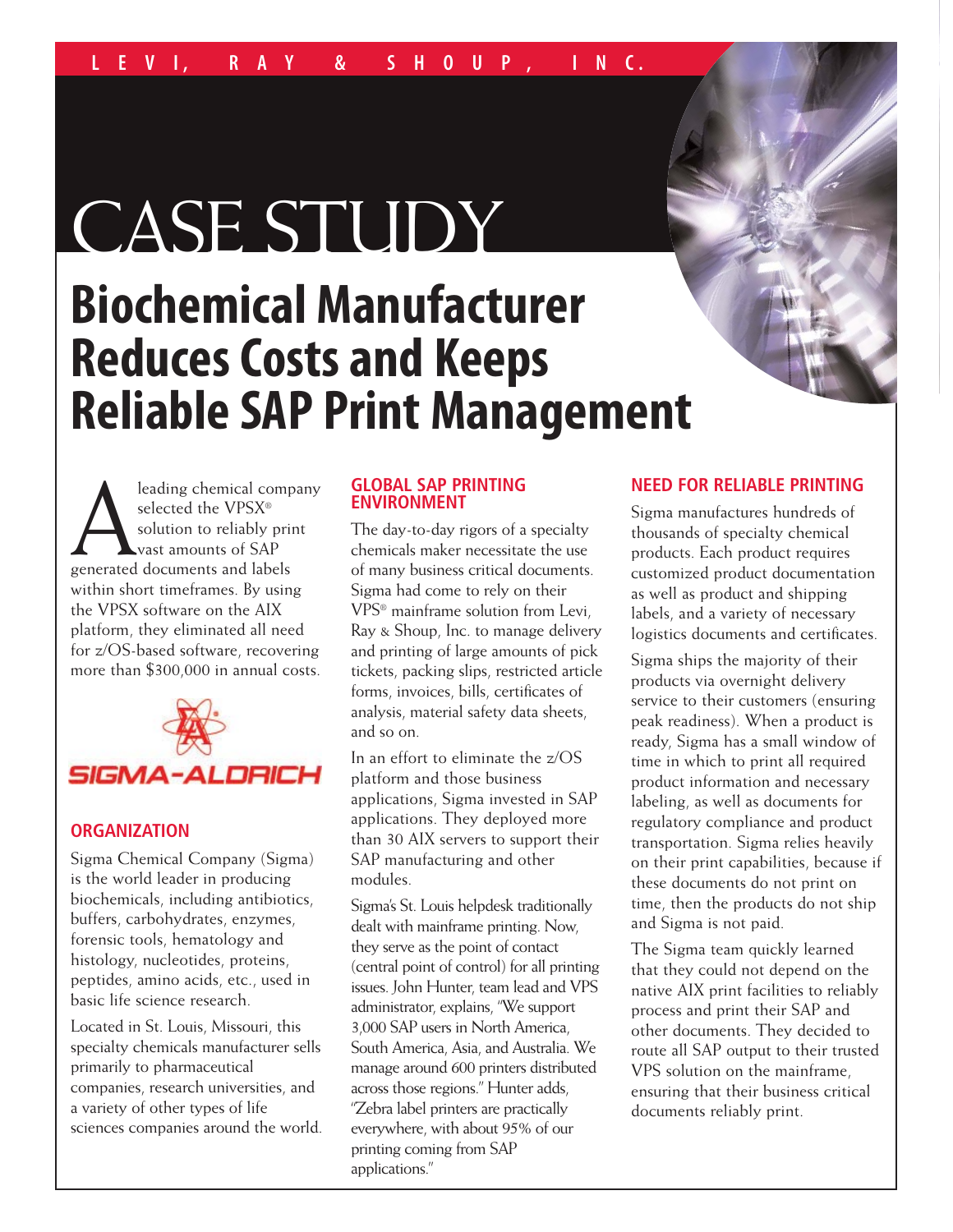# CASE STUDY

## **Biochemical Manufacturer Reduces Costs and Keeps Reliable SAP Print Management**

**Aleading chemical company**<br>selected the VPSX®<br>solution to reliably print<br>generated documents and labels selected the VPSX® solution to reliably print vast amounts of SAP within short timeframes. By using the VPSX software on the AIX platform, they eliminated all need for z/OS-based software, recovering more than \$300,000 in annual costs.



### **ORGANIZATION**

Sigma Chemical Company (Sigma) is the world leader in producing biochemicals, including antibiotics, buffers, carbohydrates, enzymes, forensic tools, hematology and histology, nucleotides, proteins, peptides, amino acids, etc., used in basic life science research.

Located in St. Louis, Missouri, this specialty chemicals manufacturer sells primarily to pharmaceutical companies, research universities, and a variety of other types of life sciences companies around the world.

### **GLOBAL SAP PRINTING ENVIRONMENT**

The day-to-day rigors of a specialty chemicals maker necessitate the use of many business critical documents. Sigma had come to rely on their VPS® mainframe solution from Levi, Ray & Shoup, Inc. to manage delivery and printing of large amounts of pick tickets, packing slips, restricted article forms, invoices, bills, certificates of analysis, material safety data sheets, and so on.

In an effort to eliminate the z/OS platform and those business applications, Sigma invested in SAP applications. They deployed more than 30 AIX servers to support their SAP manufacturing and other modules.

Sigma's St. Louis helpdesk traditionally dealt with mainframe printing. Now, they serve as the point of contact (central point of control) for all printing issues. John Hunter, team lead and VPS administrator, explains, "We support 3,000 SAP users in North America, South America, Asia, and Australia. We manage around 600 printers distributed across those regions." Hunter adds, "Zebra label printers are practically everywhere, with about 95% of our printing coming from SAP applications."

### **NEED FOR RELIABLE PRINTING**

Sigma manufactures hundreds of thousands of specialty chemical products. Each product requires customized product documentation as well as product and shipping labels, and a variety of necessary logistics documents and certificates.

Sigma ships the majority of their products via overnight delivery service to their customers (ensuring peak readiness). When a product is ready, Sigma has a small window of time in which to print all required product information and necessary labeling, as well as documents for regulatory compliance and product transportation. Sigma relies heavily on their print capabilities, because if these documents do not print on time, then the products do not ship and Sigma is not paid.

The Sigma team quickly learned that they could not depend on the native AIX print facilities to reliably process and print their SAP and other documents. They decided to route all SAP output to their trusted VPS solution on the mainframe, ensuring that their business critical documents reliably print.